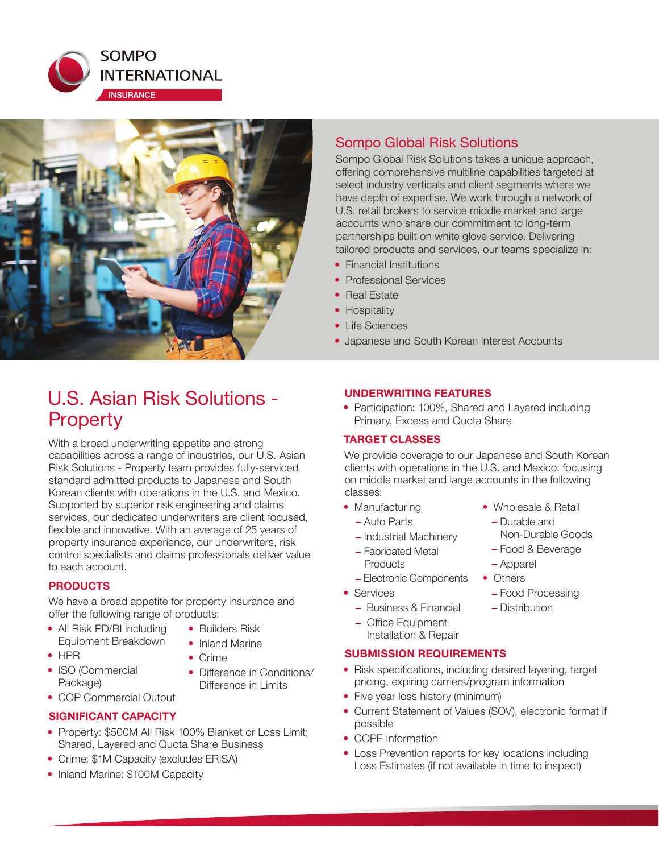



# U.S. Asian Risk Solutions - **Property**

With a broad underwriting appetite and strong capabilities across a range of industries, our U.S. Asian Risk Solutions - Property team provides fully-serviced standard admitted products to Japanese and South Korean clients with operations in the U.S. and Mexico. Supported by superior risk engineering and claims services, our dedicated underwriters are client focused, flexible and innovative. With an average of 25 years of property insurance experience, our underwriters, risk control specialists and claims professionals deliver value to each account.

## **PRODUCTS**

We have a broad appetite for property insurance and offer the following range of products:

- All Risk PD/BI including Equipment Breakdown
- $\bullet$  HPR
- ISO (Commercial Package)
- $\bullet$  Crime • Difference in Conditions/

Difference in Limits

• Builders Risk • Inland Marine

• COP Commercial Output

## **SIGNIFICANT CAPACITY**

- Property: \$500M All Risk 100% Blanket or Loss Limit; Shared, Layered and Quota Share Business
- Crime: \$1M Capacity (excludes ERISA)
- Inland Marine: \$100M Capacity

## Sompo Global Risk Solutions

Sompo Global Risk Solutions takes a unique approach, offering comprehensive multiline capabilities targeted at select industry verticals and client segments where we have depth of expertise. We work through a network of U.S. retail brokers to service middle market and large accounts who share our commitment to long-term partnerships built on white glove service. Delivering tailored products and services, our teams specialize in:

- $\bullet$  Financial Institutions
- Professional Services
- Real Estate
- Hospitality
- Life Sciences
- Japanese and South Korean Interest Accounts

## **UNDERWRITING FEATURES**

• Participation: 100%, Shared and Layered including Primary, Excess and Quota Share

## **TARGET CLASSES**

We provide coverage to our Japanese and South Korean clients with operations in the U.S. and Mexico, focusing on middle market and large accounts in the following classes:

- Manufacturing
	- Auto Parts
	- Industrial Machinery
	- Fabricated Metal **Products**
	- Electronic Components
- Services
	- Business & Financial
	- Office Equipment

## **SUBMISSION REQUIREMENTS**

- Risk specifications, including desired layering, target pricing, expiring carriers/program information
- Five year loss history (minimum)
- Current Statement of Values (SOV), electronic format if possible
- COPE Information
- Loss Prevention reports for key locations including Loss Estimates (if not available in time to inspect)
- Wholesale & Retail
- Durable and Non-Durable Goods
- Food & Beverage
- Apparel
- Others
	- Food Processing
- Distribution
- Installation & Repair